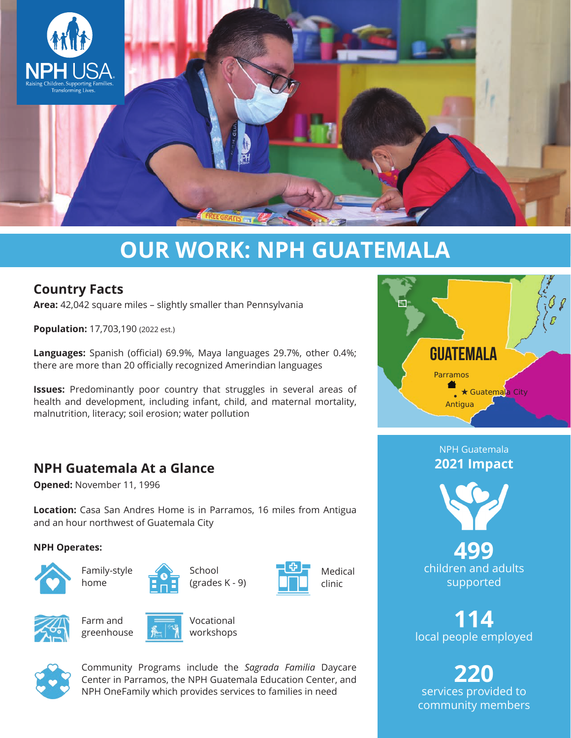

# **OUR WORK: NPH GUATEMALA**

## **Country Facts**

**Area:** 42,042 square miles – slightly smaller than Pennsylvania

**Population:** 17,703,190 (2022 est.)

**Languages:** Spanish (official) 69.9%, Maya languages 29.7%, other 0.4%; there are more than 20 officially recognized Amerindian languages

**Issues:** Predominantly poor country that struggles in several areas of health and development, including infant, child, and maternal mortality, malnutrition, literacy; soil erosion; water pollution

## **NPH Guatemala At a Glance**

**Opened:** November 11, 1996

**Location:** Casa San Andres Home is in Parramos, 16 miles from Antigua and an hour northwest of Guatemala City

#### **NPH Operates:**



Family-style home

> Farm and greenhouse





Vocational workshops





**114** local people employed

**220** services provided to community members



Community Programs include the *Sagrada Familia* Daycare Center in Parramos, the NPH Guatemala Education Center, and NPH OneFamily which provides services to families in need



NPH Guatemala **2021 Impact**



**499** children and adults supported